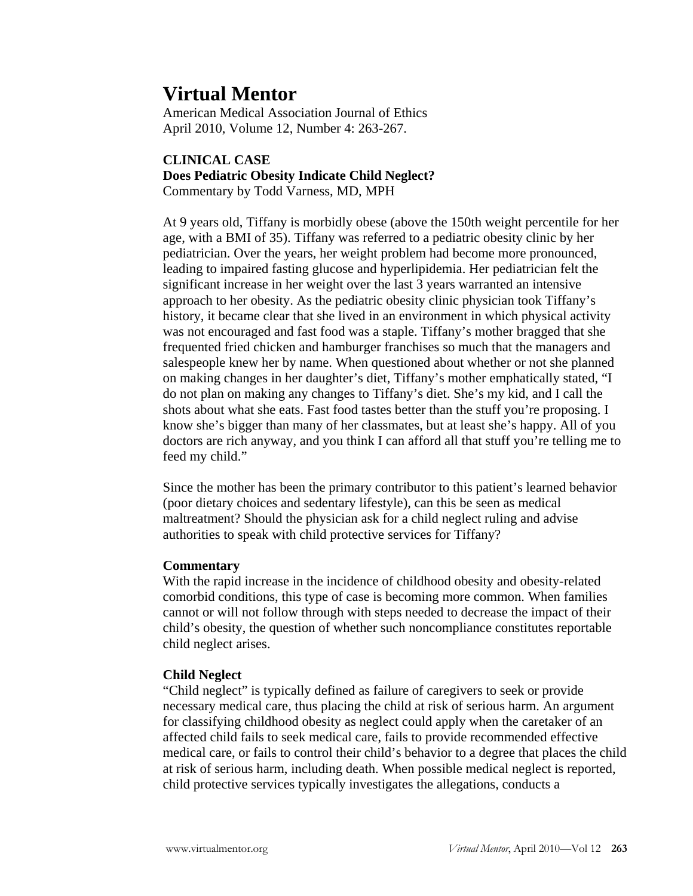# **Virtual Mentor**

American Medical Association Journal of Ethics April 2010, Volume 12, Number 4: 263-267.

## **CLINICAL CASE Does Pediatric Obesity Indicate Child Neglect?**  Commentary by Todd Varness, MD, MPH

At 9 years old, Tiffany is morbidly obese (above the 150th weight percentile for her age, with a BMI of 35). Tiffany was referred to a pediatric obesity clinic by her pediatrician. Over the years, her weight problem had become more pronounced, leading to impaired fasting glucose and hyperlipidemia. Her pediatrician felt the significant increase in her weight over the last 3 years warranted an intensive approach to her obesity. As the pediatric obesity clinic physician took Tiffany's history, it became clear that she lived in an environment in which physical activity was not encouraged and fast food was a staple. Tiffany's mother bragged that she frequented fried chicken and hamburger franchises so much that the managers and salespeople knew her by name. When questioned about whether or not she planned on making changes in her daughter's diet, Tiffany's mother emphatically stated, "I do not plan on making any changes to Tiffany's diet. She's my kid, and I call the shots about what she eats. Fast food tastes better than the stuff you're proposing. I know she's bigger than many of her classmates, but at least she's happy. All of you doctors are rich anyway, and you think I can afford all that stuff you're telling me to feed my child."

Since the mother has been the primary contributor to this patient's learned behavior (poor dietary choices and sedentary lifestyle), can this be seen as medical maltreatment? Should the physician ask for a child neglect ruling and advise authorities to speak with child protective services for Tiffany?

## **Commentary**

With the rapid increase in the incidence of childhood obesity and obesity-related comorbid conditions, this type of case is becoming more common. When families cannot or will not follow through with steps needed to decrease the impact of their child's obesity, the question of whether such noncompliance constitutes reportable child neglect arises.

## **Child Neglect**

"Child neglect" is typically defined as failure of caregivers to seek or provide necessary medical care, thus placing the child at risk of serious harm. An argument for classifying childhood obesity as neglect could apply when the caretaker of an affected child fails to seek medical care, fails to provide recommended effective medical care, or fails to control their child's behavior to a degree that places the child at risk of serious harm, including death. When possible medical neglect is reported, child protective services typically investigates the allegations, conducts a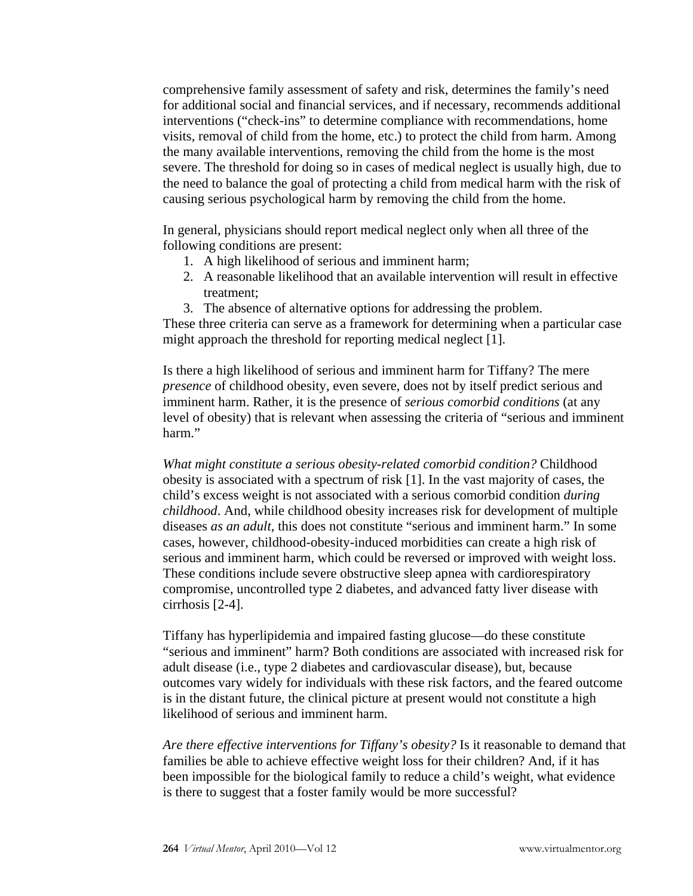comprehensive family assessment of safety and risk, determines the family's need for additional social and financial services, and if necessary, recommends additional interventions ("check-ins" to determine compliance with recommendations, home visits, removal of child from the home, etc.) to protect the child from harm. Among the many available interventions, removing the child from the home is the most severe. The threshold for doing so in cases of medical neglect is usually high, due to the need to balance the goal of protecting a child from medical harm with the risk of causing serious psychological harm by removing the child from the home.

In general, physicians should report medical neglect only when all three of the following conditions are present:

- 1. A high likelihood of serious and imminent harm;
- 2. A reasonable likelihood that an available intervention will result in effective treatment;
- 3. The absence of alternative options for addressing the problem.

These three criteria can serve as a framework for determining when a particular case might approach the threshold for reporting medical neglect [1].

Is there a high likelihood of serious and imminent harm for Tiffany? The mere *presence* of childhood obesity, even severe, does not by itself predict serious and imminent harm. Rather, it is the presence of *serious comorbid conditions* (at any level of obesity) that is relevant when assessing the criteria of "serious and imminent harm."

*What might constitute a serious obesity-related comorbid condition?* Childhood obesity is associated with a spectrum of risk [1]. In the vast majority of cases, the child's excess weight is not associated with a serious comorbid condition *during childhood*. And, while childhood obesity increases risk for development of multiple diseases *as an adult*, this does not constitute "serious and imminent harm." In some cases, however, childhood-obesity-induced morbidities can create a high risk of serious and imminent harm, which could be reversed or improved with weight loss. These conditions include severe obstructive sleep apnea with cardiorespiratory compromise, uncontrolled type 2 diabetes, and advanced fatty liver disease with cirrhosis [2-4].

Tiffany has hyperlipidemia and impaired fasting glucose—do these constitute "serious and imminent" harm? Both conditions are associated with increased risk for adult disease (i.e., type 2 diabetes and cardiovascular disease), but, because outcomes vary widely for individuals with these risk factors, and the feared outcome is in the distant future, the clinical picture at present would not constitute a high likelihood of serious and imminent harm.

*Are there effective interventions for Tiffany's obesity?* Is it reasonable to demand that families be able to achieve effective weight loss for their children? And, if it has been impossible for the biological family to reduce a child's weight, what evidence is there to suggest that a foster family would be more successful?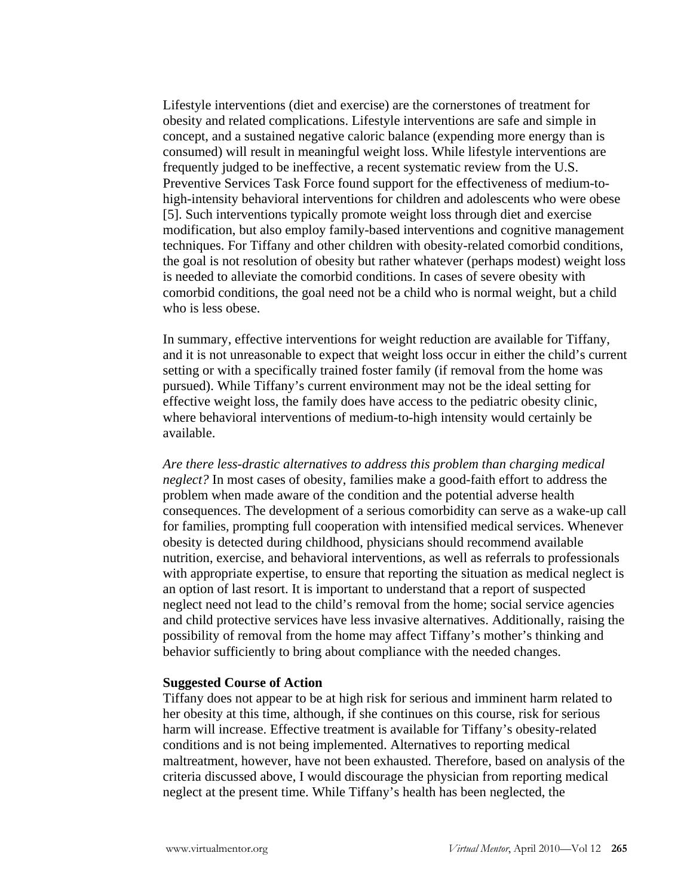Lifestyle interventions (diet and exercise) are the cornerstones of treatment for obesity and related complications. Lifestyle interventions are safe and simple in concept, and a sustained negative caloric balance (expending more energy than is consumed) will result in meaningful weight loss. While lifestyle interventions are frequently judged to be ineffective, a recent systematic review from the U.S. Preventive Services Task Force found support for the effectiveness of medium-tohigh-intensity behavioral interventions for children and adolescents who were obese [5]. Such interventions typically promote weight loss through diet and exercise modification, but also employ family-based interventions and cognitive management techniques. For Tiffany and other children with obesity-related comorbid conditions, the goal is not resolution of obesity but rather whatever (perhaps modest) weight loss is needed to alleviate the comorbid conditions. In cases of severe obesity with comorbid conditions, the goal need not be a child who is normal weight, but a child who is less obese.

In summary, effective interventions for weight reduction are available for Tiffany, and it is not unreasonable to expect that weight loss occur in either the child's current setting or with a specifically trained foster family (if removal from the home was pursued). While Tiffany's current environment may not be the ideal setting for effective weight loss, the family does have access to the pediatric obesity clinic, where behavioral interventions of medium-to-high intensity would certainly be available.

*Are there less-drastic alternatives to address this problem than charging medical neglect?* In most cases of obesity, families make a good-faith effort to address the problem when made aware of the condition and the potential adverse health consequences. The development of a serious comorbidity can serve as a wake-up call for families, prompting full cooperation with intensified medical services. Whenever obesity is detected during childhood, physicians should recommend available nutrition, exercise, and behavioral interventions, as well as referrals to professionals with appropriate expertise, to ensure that reporting the situation as medical neglect is an option of last resort. It is important to understand that a report of suspected neglect need not lead to the child's removal from the home; social service agencies and child protective services have less invasive alternatives. Additionally, raising the possibility of removal from the home may affect Tiffany's mother's thinking and behavior sufficiently to bring about compliance with the needed changes.

#### **Suggested Course of Action**

Tiffany does not appear to be at high risk for serious and imminent harm related to her obesity at this time, although, if she continues on this course, risk for serious harm will increase. Effective treatment is available for Tiffany's obesity-related conditions and is not being implemented. Alternatives to reporting medical maltreatment, however, have not been exhausted. Therefore, based on analysis of the criteria discussed above, I would discourage the physician from reporting medical neglect at the present time. While Tiffany's health has been neglected, the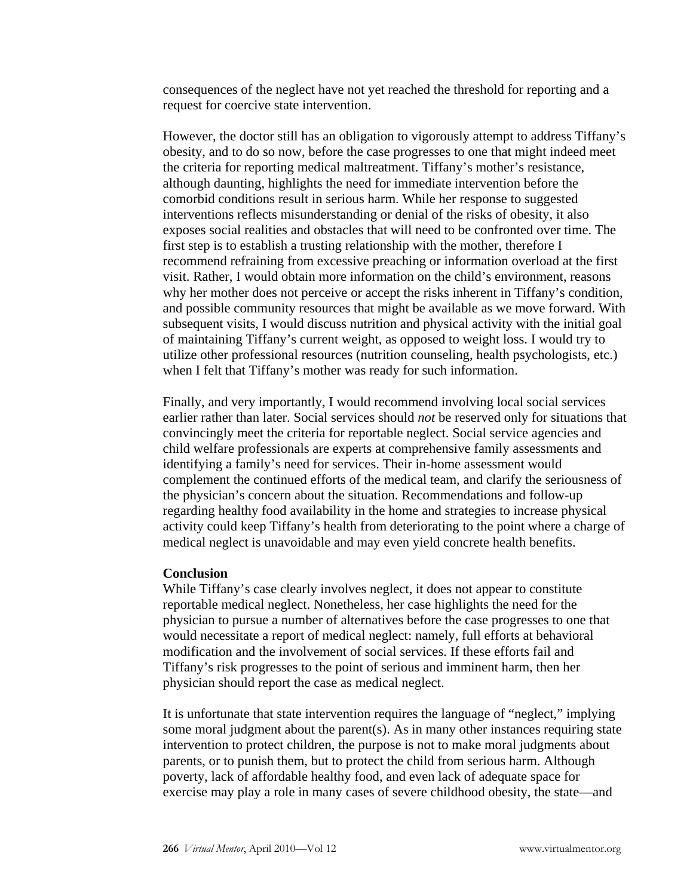consequences of the neglect have not yet reached the threshold for reporting and a request for coercive state intervention.

However, the doctor still has an obligation to vigorously attempt to address Tiffany's obesity, and to do so now, before the case progresses to one that might indeed meet the criteria for reporting medical maltreatment. Tiffany's mother's resistance, although daunting, highlights the need for immediate intervention before the comorbid conditions result in serious harm. While her response to suggested interventions reflects misunderstanding or denial of the risks of obesity, it also exposes social realities and obstacles that will need to be confronted over time. The first step is to establish a trusting relationship with the mother, therefore I recommend refraining from excessive preaching or information overload at the first visit. Rather, I would obtain more information on the child's environment, reasons why her mother does not perceive or accept the risks inherent in Tiffany's condition, and possible community resources that might be available as we move forward. With subsequent visits, I would discuss nutrition and physical activity with the initial goal of maintaining Tiffany's current weight, as opposed to weight loss. I would try to utilize other professional resources (nutrition counseling, health psychologists, etc.) when I felt that Tiffany's mother was ready for such information.

Finally, and very importantly, I would recommend involving local social services earlier rather than later. Social services should *not* be reserved only for situations that convincingly meet the criteria for reportable neglect. Social service agencies and child welfare professionals are experts at comprehensive family assessments and identifying a family's need for services. Their in-home assessment would complement the continued efforts of the medical team, and clarify the seriousness of the physician's concern about the situation. Recommendations and follow-up regarding healthy food availability in the home and strategies to increase physical activity could keep Tiffany's health from deteriorating to the point where a charge of medical neglect is unavoidable and may even yield concrete health benefits.

#### **Conclusion**

While Tiffany's case clearly involves neglect, it does not appear to constitute reportable medical neglect. Nonetheless, her case highlights the need for the physician to pursue a number of alternatives before the case progresses to one that would necessitate a report of medical neglect: namely, full efforts at behavioral modification and the involvement of social services. If these efforts fail and Tiffany's risk progresses to the point of serious and imminent harm, then her physician should report the case as medical neglect.

It is unfortunate that state intervention requires the language of "neglect," implying some moral judgment about the parent(s). As in many other instances requiring state intervention to protect children, the purpose is not to make moral judgments about parents, or to punish them, but to protect the child from serious harm. Although poverty, lack of affordable healthy food, and even lack of adequate space for exercise may play a role in many cases of severe childhood obesity, the state—and